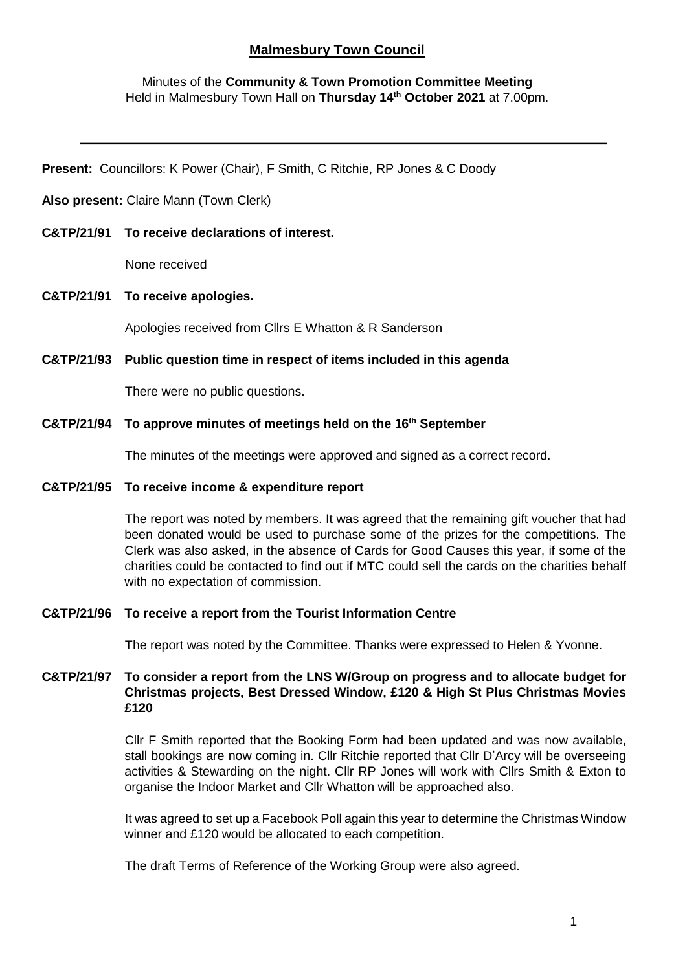# **Malmesbury Town Council**

## Minutes of the **Community & Town Promotion Committee Meeting** Held in Malmesbury Town Hall on **Thursday 14th October 2021** at 7.00pm.

**Present:** Councillors: K Power (Chair), F Smith, C Ritchie, RP Jones & C Doody

#### **Also present:** Claire Mann (Town Clerk)

**C&TP/21/91 To receive declarations of interest.**

None received

## **C&TP/21/91 To receive apologies.**

Apologies received from Cllrs E Whatton & R Sanderson

#### **C&TP/21/93 Public question time in respect of items included in this agenda**

There were no public questions.

## **C&TP/21/94 To approve minutes of meetings held on the 16th September**

The minutes of the meetings were approved and signed as a correct record.

#### **C&TP/21/95 To receive income & expenditure report**

The report was noted by members. It was agreed that the remaining gift voucher that had been donated would be used to purchase some of the prizes for the competitions. The Clerk was also asked, in the absence of Cards for Good Causes this year, if some of the charities could be contacted to find out if MTC could sell the cards on the charities behalf with no expectation of commission.

## **C&TP/21/96 To receive a report from the Tourist Information Centre**

The report was noted by the Committee. Thanks were expressed to Helen & Yvonne.

## **C&TP/21/97 To consider a report from the LNS W/Group on progress and to allocate budget for Christmas projects, Best Dressed Window, £120 & High St Plus Christmas Movies £120**

Cllr F Smith reported that the Booking Form had been updated and was now available, stall bookings are now coming in. Cllr Ritchie reported that Cllr D'Arcy will be overseeing activities & Stewarding on the night. Cllr RP Jones will work with Cllrs Smith & Exton to organise the Indoor Market and Cllr Whatton will be approached also.

It was agreed to set up a Facebook Poll again this year to determine the Christmas Window winner and £120 would be allocated to each competition.

The draft Terms of Reference of the Working Group were also agreed.